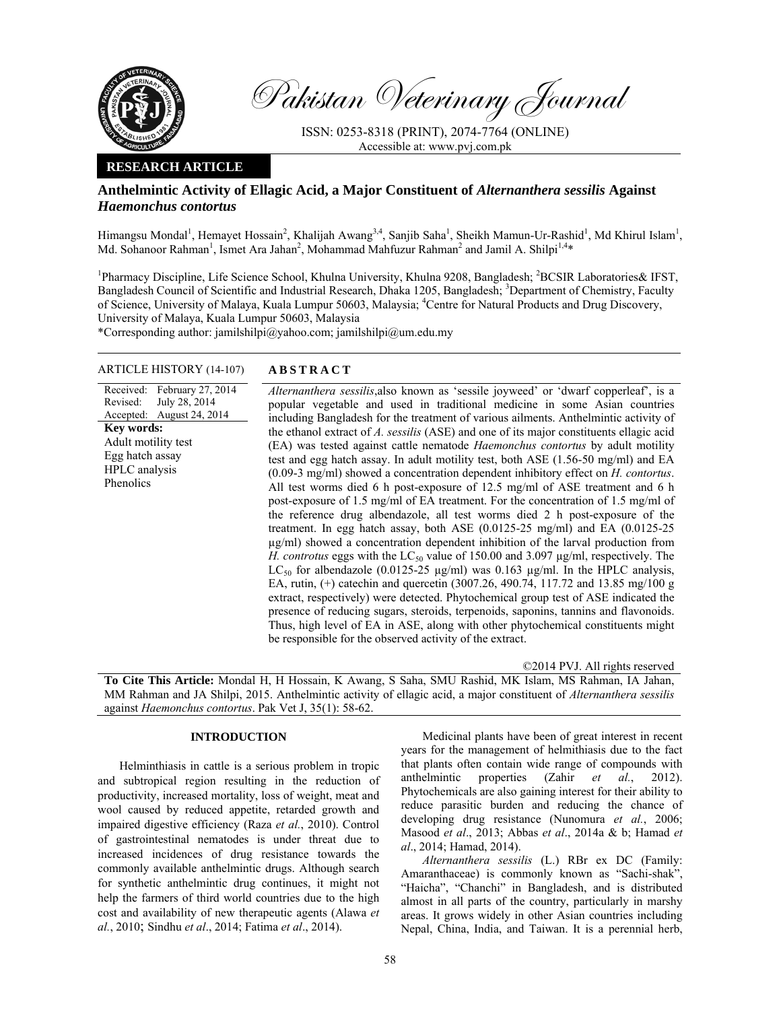

Pakistan Veterinary Journal

ISSN: 0253-8318 (PRINT), 2074-7764 (ONLINE) Accessible at: www.pvj.com.pk

# **RESEARCH ARTICLE**

# **Anthelmintic Activity of Ellagic Acid, a Major Constituent of** *Alternanthera sessilis* **Against**  *Haemonchus contortus*

Himangsu Mondal<sup>1</sup>, Hemayet Hossain<sup>2</sup>, Khalijah Awang<sup>3,4</sup>, Sanjib Saha<sup>1</sup>, Sheikh Mamun-Ur-Rashid<sup>1</sup>, Md Khirul Islam<sup>1</sup>, Md. Sohanoor Rahman<sup>1</sup>, Ismet Ara Jahan<sup>2</sup>, Mohammad Mahfuzur Rahman<sup>2</sup> and Jamil A. Shilpi<sup>1,4</sup>\*

<sup>1</sup>Pharmacy Discipline, Life Science School, Khulna University, Khulna 9208, Bangladesh; <sup>2</sup>BCSIR Laboratories& IFST, Bangladesh Council of Scientific and Industrial Research, Dhaka 1205, Bangladesh; <sup>3</sup>Department of Chemistry, Faculty of Science, University of Malaya, Kuala Lumpur 50603, Malaysia; <sup>4</sup>Centre for Natural Products and Drug Discovery, University of Malaya, Kuala Lumpur 50603, Malaysia

\*Corresponding author: jamilshilpi@yahoo.com; jamilshilpi@um.edu.my

# ARTICLE HISTORY (14-107) **ABSTRACT**

Received: February 27, 2014 Revised: Accepted: July 28, 2014 August 24, 2014 **Key words:**  Adult motility test Egg hatch assay HPLC analysis Phenolics

*Alternanthera sessilis*,also known as 'sessile joyweed' or 'dwarf copperleaf', is a popular vegetable and used in traditional medicine in some Asian countries including Bangladesh for the treatment of various ailments. Anthelmintic activity of the ethanol extract of *A. sessilis* (ASE) and one of its major constituents ellagic acid (EA) was tested against cattle nematode *Haemonchus contortus* by adult motility test and egg hatch assay. In adult motility test, both ASE (1.56-50 mg/ml) and EA (0.09-3 mg/ml) showed a concentration dependent inhibitory effect on *H. contortus*. All test worms died 6 h post-exposure of 12.5 mg/ml of ASE treatment and 6 h post-exposure of 1.5 mg/ml of EA treatment. For the concentration of 1.5 mg/ml of the reference drug albendazole, all test worms died 2 h post-exposure of the treatment. In egg hatch assay, both ASE (0.0125-25 mg/ml) and EA (0.0125-25 µg/ml) showed a concentration dependent inhibition of the larval production from *H. controtus* eggs with the  $LC_{50}$  value of 150.00 and 3.097  $\mu$ g/ml, respectively. The LC<sub>50</sub> for albendazole (0.0125-25 µg/ml) was 0.163 µg/ml. In the HPLC analysis, EA, rutin, (+) catechin and quercetin (3007.26, 490.74, 117.72 and 13.85 mg/100 g extract, respectively) were detected. Phytochemical group test of ASE indicated the presence of reducing sugars, steroids, terpenoids, saponins, tannins and flavonoids. Thus, high level of EA in ASE, along with other phytochemical constituents might be responsible for the observed activity of the extract.

©2014 PVJ. All rights reserved

**To Cite This Article:** Mondal H, H Hossain, K Awang, S Saha, SMU Rashid, MK Islam, MS Rahman, IA Jahan, MM Rahman and JA Shilpi, 2015. Anthelmintic activity of ellagic acid, a major constituent of *Alternanthera sessilis* against *Haemonchus contortus*. Pak Vet J, 35(1): 58-62.

### **INTRODUCTION**

Helminthiasis in cattle is a serious problem in tropic and subtropical region resulting in the reduction of productivity, increased mortality, loss of weight, meat and wool caused by reduced appetite, retarded growth and impaired digestive efficiency (Raza *et al.*, 2010). Control of gastrointestinal nematodes is under threat due to increased incidences of drug resistance towards the commonly available anthelmintic drugs. Although search for synthetic anthelmintic drug continues, it might not help the farmers of third world countries due to the high cost and availability of new therapeutic agents (Alawa *et al.*, 2010; Sindhu *et al*., 2014; Fatima *et al*., 2014).

Medicinal plants have been of great interest in recent years for the management of helmithiasis due to the fact that plants often contain wide range of compounds with anthelmintic properties (Zahir *et al.*, 2012). Phytochemicals are also gaining interest for their ability to reduce parasitic burden and reducing the chance of developing drug resistance (Nunomura *et al.*, 2006; Masood *et al*., 2013; Abbas *et al*., 2014a & b; Hamad *et al*., 2014; Hamad, 2014).

*Alternanthera sessilis* (L.) RBr ex DC (Family: Amaranthaceae) is commonly known as "Sachi-shak", "Haicha", "Chanchi" in Bangladesh, and is distributed almost in all parts of the country, particularly in marshy areas. It grows widely in other Asian countries including Nepal, China, India, and Taiwan. It is a perennial herb,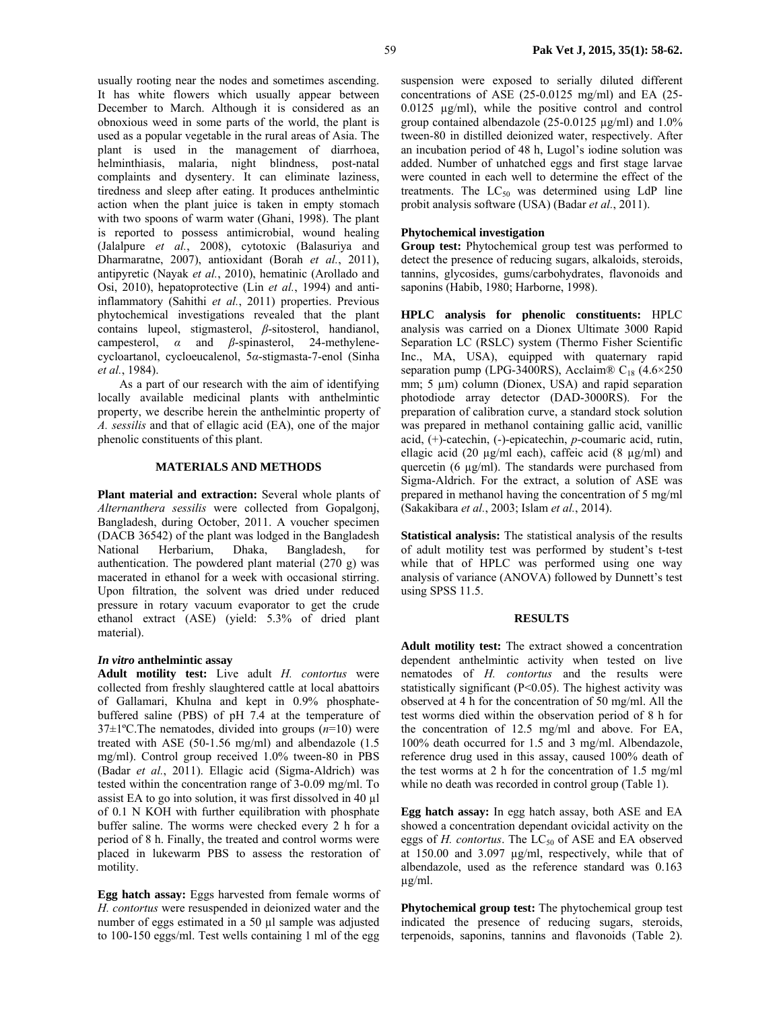usually rooting near the nodes and sometimes ascending. It has white flowers which usually appear between December to March. Although it is considered as an obnoxious weed in some parts of the world, the plant is used as a popular vegetable in the rural areas of Asia. The plant is used in the management of diarrhoea, helminthiasis, malaria, night blindness, post-natal complaints and dysentery. It can eliminate laziness, tiredness and sleep after eating. It produces anthelmintic action when the plant juice is taken in empty stomach with two spoons of warm water (Ghani, 1998). The plant is reported to possess antimicrobial, wound healing (Jalalpure *et al.*, 2008), cytotoxic (Balasuriya and Dharmaratne, 2007), antioxidant (Borah *et al.*, 2011), antipyretic (Nayak *et al.*, 2010), hematinic (Arollado and Osi, 2010), hepatoprotective (Lin *et al.*, 1994) and antiinflammatory (Sahithi *et al.*, 2011) properties. Previous phytochemical investigations revealed that the plant contains lupeol, stigmasterol, *β*-sitosterol, handianol, campesterol, *α* and *β*-spinasterol, 24-methylenecycloartanol, cycloeucalenol, 5*α*-stigmasta-7-enol (Sinha *et al.*, 1984).

As a part of our research with the aim of identifying locally available medicinal plants with anthelmintic property, we describe herein the anthelmintic property of *A. sessilis* and that of ellagic acid (EA), one of the major phenolic constituents of this plant.

#### **MATERIALS AND METHODS**

**Plant material and extraction:** Several whole plants of *Alternanthera sessilis* were collected from Gopalgonj, Bangladesh, during October, 2011. A voucher specimen (DACB 36542) of the plant was lodged in the Bangladesh National Herbarium, Dhaka, Bangladesh, for authentication. The powdered plant material (270 g) was macerated in ethanol for a week with occasional stirring. Upon filtration, the solvent was dried under reduced pressure in rotary vacuum evaporator to get the crude ethanol extract (ASE) (yield: 5.3% of dried plant material).

### *In vitro* **anthelmintic assay**

**Adult motility test:** Live adult *H. contortus* were collected from freshly slaughtered cattle at local abattoirs of Gallamari, Khulna and kept in 0.9% phosphatebuffered saline (PBS) of pH 7.4 at the temperature of 37±1ºC.The nematodes, divided into groups (*n*=10) were treated with ASE (50-1.56 mg/ml) and albendazole (1.5 mg/ml). Control group received 1.0% tween-80 in PBS (Badar *et al.*, 2011). Ellagic acid (Sigma-Aldrich) was tested within the concentration range of 3-0.09 mg/ml. To assist EA to go into solution, it was first dissolved in 40 µl of 0.1 N KOH with further equilibration with phosphate buffer saline. The worms were checked every 2 h for a period of 8 h. Finally, the treated and control worms were placed in lukewarm PBS to assess the restoration of motility.

**Egg hatch assay:** Eggs harvested from female worms of *H. contortus* were resuspended in deionized water and the number of eggs estimated in a 50 µl sample was adjusted to 100-150 eggs/ml. Test wells containing 1 ml of the egg suspension were exposed to serially diluted different concentrations of ASE (25-0.0125 mg/ml) and EA (25- 0.0125 µg/ml), while the positive control and control group contained albendazole (25-0.0125 µg/ml) and 1.0% tween-80 in distilled deionized water, respectively. After an incubation period of 48 h, Lugol's iodine solution was added. Number of unhatched eggs and first stage larvae were counted in each well to determine the effect of the treatments. The  $LC_{50}$  was determined using LdP line probit analysis software (USA) (Badar *et al.*, 2011).

# **Phytochemical investigation**

**Group test:** Phytochemical group test was performed to detect the presence of reducing sugars, alkaloids, steroids, tannins, glycosides, gums/carbohydrates, flavonoids and saponins (Habib, 1980; Harborne, 1998).

**HPLC analysis for phenolic constituents:** HPLC analysis was carried on a Dionex Ultimate 3000 Rapid Separation LC (RSLC) system (Thermo Fisher Scientific Inc., MA, USA), equipped with quaternary rapid separation pump (LPG-3400RS), Acclaim®  $C_{18}$  (4.6×250) mm; 5  $\mu$ m) column (Dionex, USA) and rapid separation photodiode array detector (DAD-3000RS). For the preparation of calibration curve, a standard stock solution was prepared in methanol containing gallic acid, vanillic acid, (+)-catechin, (-)-epicatechin, *p*-coumaric acid, rutin, ellagic acid (20  $\mu$ g/ml each), caffeic acid (8  $\mu$ g/ml) and quercetin (6 µg/ml). The standards were purchased from Sigma-Aldrich. For the extract, a solution of ASE was prepared in methanol having the concentration of 5 mg/ml (Sakakibara *et al.*, 2003; Islam *et al.*, 2014).

**Statistical analysis:** The statistical analysis of the results of adult motility test was performed by student's t-test while that of HPLC was performed using one way analysis of variance (ANOVA) followed by Dunnett's test using SPSS 11.5.

#### **RESULTS**

**Adult motility test:** The extract showed a concentration dependent anthelmintic activity when tested on live nematodes of *H. contortus* and the results were statistically significant (P<0.05). The highest activity was observed at 4 h for the concentration of 50 mg/ml. All the test worms died within the observation period of 8 h for the concentration of 12.5 mg/ml and above. For EA, 100% death occurred for 1.5 and 3 mg/ml. Albendazole, reference drug used in this assay, caused 100% death of the test worms at 2 h for the concentration of 1.5 mg/ml while no death was recorded in control group (Table 1).

**Egg hatch assay:** In egg hatch assay, both ASE and EA showed a concentration dependant ovicidal activity on the eggs of *H. contortus*. The LC<sub>50</sub> of ASE and EA observed at 150.00 and 3.097 µg/ml, respectively, while that of albendazole, used as the reference standard was 0.163 µg/ml.

**Phytochemical group test:** The phytochemical group test indicated the presence of reducing sugars, steroids, terpenoids, saponins, tannins and flavonoids (Table 2).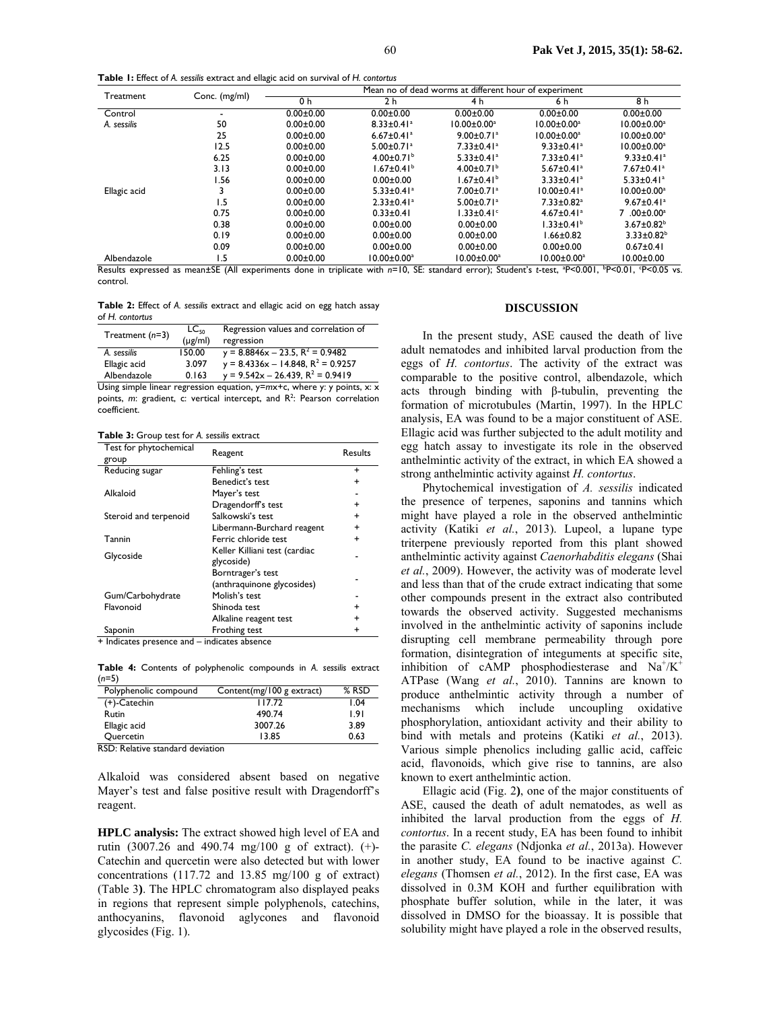**Table 1:** Effect of *A. sessilis* extract and ellagic acid on survival of *H. contortus*

| Treatment    | Conc. (mg/ml) | Mean no of dead worms at different hour of experiment |                              |                              |                               |                              |
|--------------|---------------|-------------------------------------------------------|------------------------------|------------------------------|-------------------------------|------------------------------|
|              |               | 0 h                                                   | 2 <sub>h</sub>               | 4 h                          | 6 h                           | 8 h                          |
| Control      |               | $0.00 + 0.00$                                         | $0.00 + 0.00$                | $0.00 + 0.00$                | $0.00 + 0.00$                 | $0.00 + 0.00$                |
| A. sessilis  | 50            | $0.00 + 0.00$                                         | $8.33 \pm 0.41$ <sup>a</sup> | $10.00 \pm 0.00^a$           | $10.00 \pm 0.00^a$            | $10.00 \pm 0.00^a$           |
|              | 25            | $0.00 + 0.00$                                         | $6.67 \pm 0.41$ <sup>a</sup> | $9.00 \pm 0.71$ <sup>a</sup> | $10.00 \pm 0.00^a$            | $10.00 \pm 0.00^a$           |
|              | 12.5          | $0.00 + 0.00$                                         | $5.00 \pm 0.71$ <sup>a</sup> | $7.33 \pm 0.41$ <sup>a</sup> | $9.33 \pm 0.41$ <sup>a</sup>  | $10.00 \pm 0.00^a$           |
|              | 6.25          | $0.00 + 0.00$                                         | $4.00 \pm 0.71^b$            | $5.33 \pm 0.41$ <sup>a</sup> | $7.33 \pm 0.41$ <sup>a</sup>  | $9.33 \pm 0.41$ <sup>a</sup> |
|              | 3.13          | $0.00 + 0.00$                                         | $1.67 \pm 0.41^b$            | 4.00 $\pm$ 0.71 <sup>b</sup> | $5.67 \pm 0.41$ <sup>a</sup>  | $7.67 \pm 0.41$ <sup>a</sup> |
|              | l.56          | $0.00 + 0.00$                                         | $0.00 + 0.00$                | $1.67 \pm 0.41^b$            | $3.33 \pm 0.41$ <sup>a</sup>  | $5.33 \pm 0.41$ <sup>a</sup> |
| Ellagic acid |               | $0.00 + 0.00$                                         | $5.33 \pm 0.41$ <sup>a</sup> | $7.00 \pm 0.71$ <sup>a</sup> | $10.00 \pm 0.41$ <sup>a</sup> | $10.00 \pm 0.00^a$           |
|              | ۱.5           | $0.00 + 0.00$                                         | $2.33 \pm 0.41$ <sup>a</sup> | $5.00 \pm 0.71$ <sup>a</sup> | $7.33 \pm 0.82$ <sup>a</sup>  | $9.67 \pm 0.41$ <sup>a</sup> |
|              | 0.75          | $0.00 + 0.00$                                         | $0.33 \pm 0.41$              | $1.33 \pm 0.41$ <sup>c</sup> | $4.67 \pm 0.41$ <sup>a</sup>  | 7.00±0.00 <sup>a</sup>       |
|              | 0.38          | $0.00 + 0.00$                                         | $0.00 + 0.00$                | $0.00 + 0.00$                | $1.33 \pm 0.41^b$             | $3.67 \pm 0.82^b$            |
|              | 0.19          | $0.00 + 0.00$                                         | $0.00 + 0.00$                | $0.00 + 0.00$                | $1.66 \pm 0.82$               | $3.33 \pm 0.82^b$            |
|              | 0.09          | $0.00 + 0.00$                                         | $0.00 + 0.00$                | $0.00 + 0.00$                | $0.00 + 0.00$                 | $0.67 \pm 0.41$              |
| Albendazole  | ۱.5           | $0.00 \pm 0.00$                                       | $10.00 \pm 0.00^a$           | $10.00 \pm 0.00^a$           | $10.00 \pm 0.00^a$            | $10.00 \pm 0.00$             |

Results expressed as mean±SE (All experiments done in triplicate with n=10, SE: standard error); Student's t-test, <sup>a</sup>P<0.01, <sup>t</sup>P<0.01, <sup>c</sup>P<0.05 vs. control.

**Table 2:** Effect of *A. sessilis* extract and ellagic acid on egg hatch assay of *H. contortus*

| Treatment $(n=3)$ | $LC_{50}$    | Regression values and correlation of    |  |  |
|-------------------|--------------|-----------------------------------------|--|--|
|                   | $(\mu$ g/ml) | regression                              |  |  |
| A. sessilis       | 150.00       | $y = 8.8846x - 23.5$ , $R^2 = 0.9482$   |  |  |
| Ellagic acid      | 3.097        | $y = 8.4336x - 14.848$ , $R^2 = 0.9257$ |  |  |
| Albendazole       | 0.163        | $y = 9.542x - 26.439$ , $R^2 = 0.9419$  |  |  |

Using simple linear regression equation,  $y=mx+c$ , where y: y points, x: x points, *m*: gradient, c: vertical intercept, and R<sup>2</sup>: Pearson correlation coefficient.

**Table 3:** Group test for *A. sessilis* extract

| Test for phytochemical<br>group | Reagent                                         | Results   |
|---------------------------------|-------------------------------------------------|-----------|
| Reducing sugar                  | Fehling's test                                  | $\ddot{}$ |
|                                 | Benedict's test                                 | $\ddot{}$ |
| Alkaloid                        | Mayer's test                                    |           |
|                                 | Dragendorff's test                              | $\ddot{}$ |
| Steroid and terpenoid           | Salkowski's test                                | $\ddot{}$ |
|                                 | Libermann-Burchard reagent                      | $\ddot{}$ |
| Tannin                          | Ferric chloride test                            | +         |
| Glycoside                       | Keller Killiani test (cardiac<br>glycoside)     |           |
|                                 | Borntrager's test<br>(anthraquinone glycosides) |           |
| Gum/Carbohydrate                | Molish's test                                   |           |
| Flavonoid                       | Shinoda test                                    | +         |
|                                 | Alkaline reagent test                           | +         |
| Saponin                         | Frothing test                                   | +         |

 $+$  Indicates presence and  $-$  indicates absence

**Table 4:** Contents of polyphenolic compounds in *A. sessilis* extract (*n*=5)

| Polyphenolic compound | Content(mg/100 g extract) | $%$ RSD |
|-----------------------|---------------------------|---------|
| (+)-Catechin          | 117.72                    | l.04    |
| Rutin                 | 490.74                    | 1.91    |
| Ellagic acid          | 3007.26                   | 3.89    |
| Quercetin             | 13.85                     | 0.63    |

RSD: Relative standard deviation

Alkaloid was considered absent based on negative Mayer's test and false positive result with Dragendorff's reagent.

**HPLC analysis:** The extract showed high level of EA and rutin (3007.26 and 490.74 mg/100 g of extract). (+)- Catechin and quercetin were also detected but with lower concentrations (117.72 and 13.85 mg/100 g of extract) (Table 3**)**. The HPLC chromatogram also displayed peaks in regions that represent simple polyphenols, catechins, anthocyanins, flavonoid aglycones and flavonoid glycosides (Fig. 1).

#### **DISCUSSION**

In the present study, ASE caused the death of live adult nematodes and inhibited larval production from the eggs of *H. contortus*. The activity of the extract was comparable to the positive control, albendazole, which acts through binding with β-tubulin, preventing the formation of microtubules (Martin, 1997). In the HPLC analysis, EA was found to be a major constituent of ASE. Ellagic acid was further subjected to the adult motility and egg hatch assay to investigate its role in the observed anthelmintic activity of the extract, in which EA showed a strong anthelmintic activity against *H. contortus*.

Phytochemical investigation of *A. sessilis* indicated the presence of terpenes, saponins and tannins which might have played a role in the observed anthelmintic activity (Katiki *et al.*, 2013). Lupeol, a lupane type triterpene previously reported from this plant showed anthelmintic activity against *Caenorhabditis elegans* (Shai *et al.*, 2009). However, the activity was of moderate level and less than that of the crude extract indicating that some other compounds present in the extract also contributed towards the observed activity. Suggested mechanisms involved in the anthelmintic activity of saponins include disrupting cell membrane permeability through pore formation, disintegration of integuments at specific site, inhibition of cAMP phosphodiesterase and  $Na^+/K^+$ ATPase (Wang *et al.*, 2010). Tannins are known to produce anthelmintic activity through a number of mechanisms which include uncoupling oxidative phosphorylation, antioxidant activity and their ability to bind with metals and proteins (Katiki *et al.*, 2013). Various simple phenolics including gallic acid, caffeic acid, flavonoids, which give rise to tannins, are also known to exert anthelmintic action.

Ellagic acid (Fig. 2**)**, one of the major constituents of ASE, caused the death of adult nematodes, as well as inhibited the larval production from the eggs of *H. contortus*. In a recent study, EA has been found to inhibit the parasite *C. elegans* (Ndjonka *et al.*, 2013a). However in another study, EA found to be inactive against *C. elegans* (Thomsen *et al.*, 2012). In the first case, EA was dissolved in 0.3M KOH and further equilibration with phosphate buffer solution, while in the later, it was dissolved in DMSO for the bioassay. It is possible that solubility might have played a role in the observed results,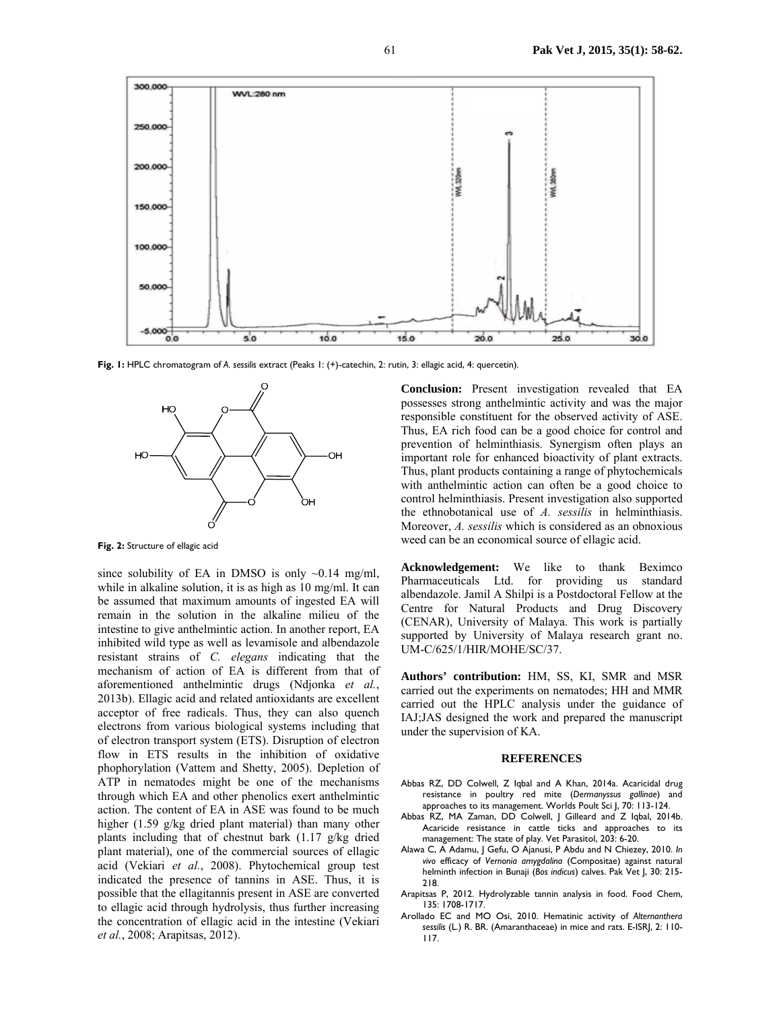

**Fig. 1:** HPLC chromatogram of *A. sessilis* extract (Peaks 1: (+)-catechin, 2: rutin, 3: ellagic acid, 4: quercetin).



**Fig. 2:** Structure of ellagic acid

since solubility of EA in DMSO is only  $\sim 0.14$  mg/ml, while in alkaline solution, it is as high as 10 mg/ml. It can be assumed that maximum amounts of ingested EA will remain in the solution in the alkaline milieu of the intestine to give anthelmintic action. In another report, EA inhibited wild type as well as levamisole and albendazole resistant strains of *C. elegans* indicating that the mechanism of action of EA is different from that of aforementioned anthelmintic drugs (Ndjonka *et al.*, 2013b). Ellagic acid and related antioxidants are excellent acceptor of free radicals. Thus, they can also quench electrons from various biological systems including that of electron transport system (ETS). Disruption of electron flow in ETS results in the inhibition of oxidative phophorylation (Vattem and Shetty, 2005). Depletion of ATP in nematodes might be one of the mechanisms through which EA and other phenolics exert anthelmintic action. The content of EA in ASE was found to be much higher (1.59 g/kg dried plant material) than many other plants including that of chestnut bark (1.17 g/kg dried plant material), one of the commercial sources of ellagic acid (Vekiari *et al.*, 2008). Phytochemical group test indicated the presence of tannins in ASE. Thus, it is possible that the ellagitannis present in ASE are converted to ellagic acid through hydrolysis, thus further increasing the concentration of ellagic acid in the intestine (Vekiari *et al.*, 2008; Arapitsas, 2012).

**Conclusion:** Present investigation revealed that EA possesses strong anthelmintic activity and was the major responsible constituent for the observed activity of ASE. Thus, EA rich food can be a good choice for control and prevention of helminthiasis. Synergism often plays an important role for enhanced bioactivity of plant extracts. Thus, plant products containing a range of phytochemicals with anthelmintic action can often be a good choice to control helminthiasis. Present investigation also supported the ethnobotanical use of *A. sessilis* in helminthiasis. Moreover, *A. sessilis* which is considered as an obnoxious weed can be an economical source of ellagic acid.

**Acknowledgement:** We like to thank Beximco Pharmaceuticals Ltd. for providing us standard albendazole. Jamil A Shilpi is a Postdoctoral Fellow at the Centre for Natural Products and Drug Discovery (CENAR), University of Malaya. This work is partially supported by University of Malaya research grant no. UM-C/625/1/HIR/MOHE/SC/37.

**Authors' contribution:** HM, SS, KI, SMR and MSR carried out the experiments on nematodes; HH and MMR carried out the HPLC analysis under the guidance of IAJ;JAS designed the work and prepared the manuscript under the supervision of KA.

#### **REFERENCES**

- Abbas RZ, DD Colwell, Z Iqbal and A Khan, 2014a. Acaricidal drug resistance in poultry red mite (*Dermanyssus gallinae*) and approaches to its management. Worlds Poult Sci J, 70: 113-124.
- Abbas RZ, MA Zaman, DD Colwell, J Gilleard and Z Iqbal, 2014b. Acaricide resistance in cattle ticks and approaches to its management: The state of play. Vet Parasitol, 203: 6-20.
- Alawa C, A Adamu, J Gefu, O Ajanusi, P Abdu and N Chiezey, 2010. *In vivo* efficacy of *Vernonia amygdalina* (Compositae) against natural helminth infection in Bunaji (*Bos indicus*) calves. Pak Vet J, 30: 215- 218.
- Arapitsas P, 2012. Hydrolyzable tannin analysis in food. Food Chem, 135: 1708-1717.
- Arollado EC and MO Osi, 2010. Hematinic activity of *Alternanthera sessilis* (L.) R. BR. (Amaranthaceae) in mice and rats. E-ISRJ, 2: 110- 117.